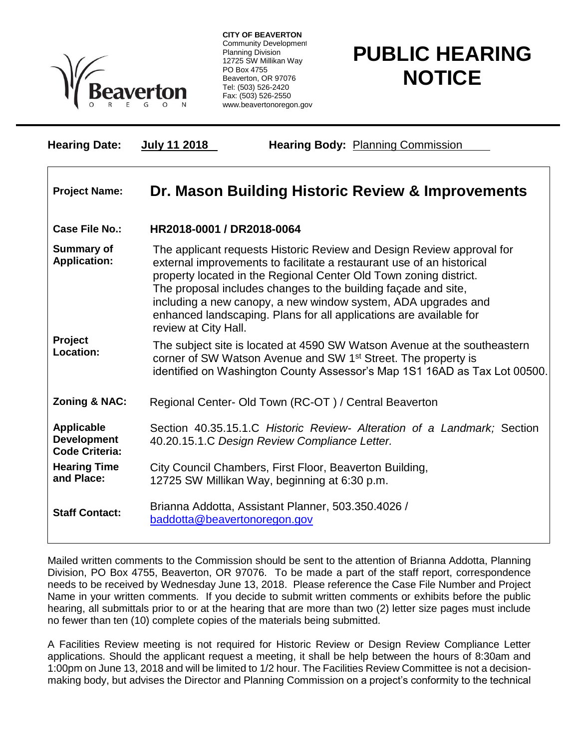

**CITY OF BEAVERTON** Community Development Planning Division 12725 SW Millikan Way PO Box 4755 Beaverton, OR 97076 Tel: (503) 526-2420 Fax: (503) 526-2550 www.beavertonoregon.gov

## **PUBLIC HEARING NOTICE**

| <b>Hearing Date:</b>                                             | July 11 2018                                                                                                                                                                                                                                                                                                                                                                                                                                         | <b>Hearing Body: Planning Commission</b>                                                                                                                                                                                           |
|------------------------------------------------------------------|------------------------------------------------------------------------------------------------------------------------------------------------------------------------------------------------------------------------------------------------------------------------------------------------------------------------------------------------------------------------------------------------------------------------------------------------------|------------------------------------------------------------------------------------------------------------------------------------------------------------------------------------------------------------------------------------|
| <b>Project Name:</b>                                             | Dr. Mason Building Historic Review & Improvements                                                                                                                                                                                                                                                                                                                                                                                                    |                                                                                                                                                                                                                                    |
| <b>Case File No.:</b>                                            | HR2018-0001 / DR2018-0064                                                                                                                                                                                                                                                                                                                                                                                                                            |                                                                                                                                                                                                                                    |
| <b>Summary of</b><br><b>Application:</b>                         | The applicant requests Historic Review and Design Review approval for<br>external improvements to facilitate a restaurant use of an historical<br>property located in the Regional Center Old Town zoning district.<br>The proposal includes changes to the building façade and site,<br>including a new canopy, a new window system, ADA upgrades and<br>enhanced landscaping. Plans for all applications are available for<br>review at City Hall. |                                                                                                                                                                                                                                    |
| <b>Project</b><br>Location:                                      |                                                                                                                                                                                                                                                                                                                                                                                                                                                      | The subject site is located at 4590 SW Watson Avenue at the southeastern<br>corner of SW Watson Avenue and SW 1 <sup>st</sup> Street. The property is<br>identified on Washington County Assessor's Map 1S1 16AD as Tax Lot 00500. |
| Zoning & NAC:                                                    | Regional Center- Old Town (RC-OT) / Central Beaverton                                                                                                                                                                                                                                                                                                                                                                                                |                                                                                                                                                                                                                                    |
| <b>Applicable</b><br><b>Development</b><br><b>Code Criteria:</b> | Section 40.35.15.1.C Historic Review- Alteration of a Landmark; Section<br>40.20.15.1.C Design Review Compliance Letter.                                                                                                                                                                                                                                                                                                                             |                                                                                                                                                                                                                                    |
| <b>Hearing Time</b><br>and Place:                                | City Council Chambers, First Floor, Beaverton Building,<br>12725 SW Millikan Way, beginning at 6:30 p.m.                                                                                                                                                                                                                                                                                                                                             |                                                                                                                                                                                                                                    |
| <b>Staff Contact:</b>                                            | Brianna Addotta, Assistant Planner, 503.350.4026 /<br>baddotta@beavertonoregon.gov                                                                                                                                                                                                                                                                                                                                                                   |                                                                                                                                                                                                                                    |

Mailed written comments to the Commission should be sent to the attention of Brianna Addotta, Planning Division, PO Box 4755, Beaverton, OR 97076. To be made a part of the staff report, correspondence needs to be received by Wednesday June 13, 2018. Please reference the Case File Number and Project Name in your written comments. If you decide to submit written comments or exhibits before the public hearing, all submittals prior to or at the hearing that are more than two (2) letter size pages must include no fewer than ten (10) complete copies of the materials being submitted.

A Facilities Review meeting is not required for Historic Review or Design Review Compliance Letter applications. Should the applicant request a meeting, it shall be help between the hours of 8:30am and 1:00pm on June 13, 2018 and will be limited to 1/2 hour. The Facilities Review Committee is not a decisionmaking body, but advises the Director and Planning Commission on a project's conformity to the technical